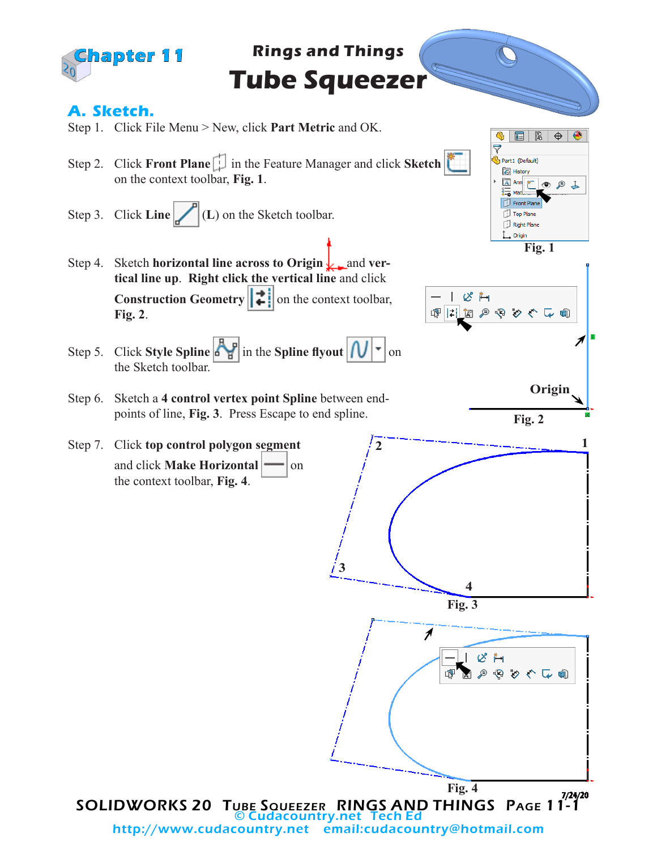

http://www.cudacountry.net email:cudacountry@hotmail.com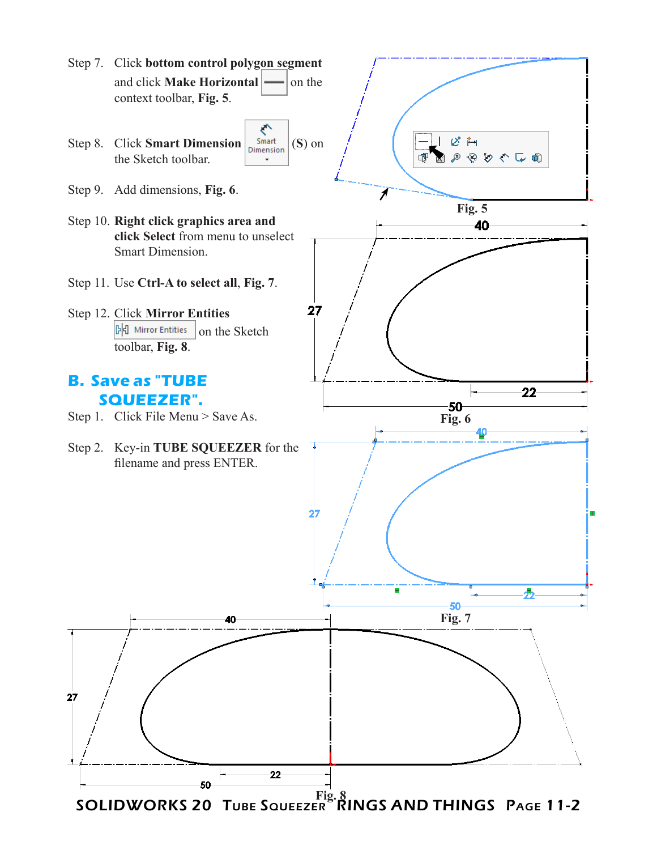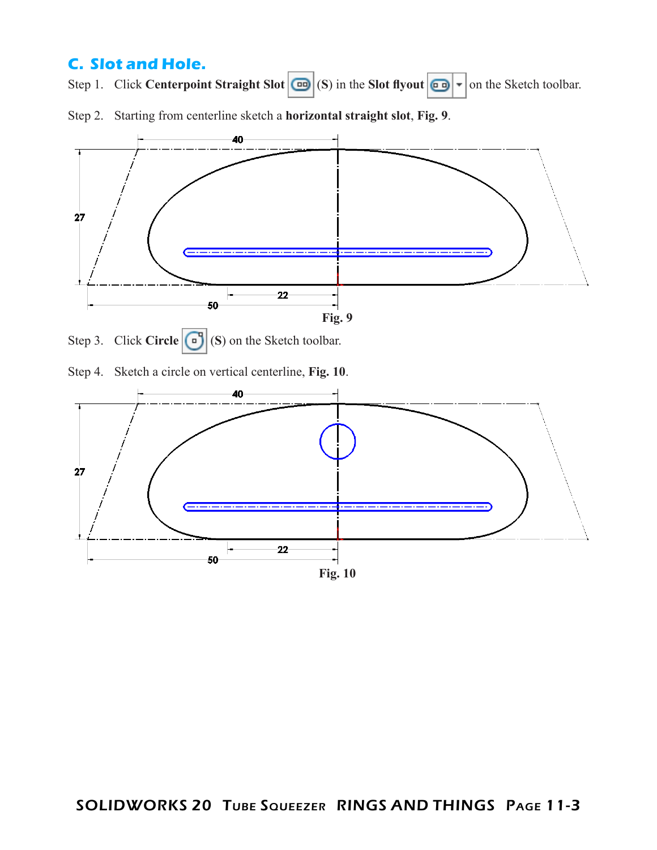## **C. Slot and Hole.**

Step 1. Click **Centerpoint Straight Slot**  $\boxed{\blacksquare}$  (S) in the **Slot flyout**  $\boxed{\blacksquare}$   $\blacksquare$  on the Sketch toolbar.

Step 2. Starting from centerline sketch a **horizontal straight slot**, **Fig. 9**.





Step 4. Sketch a circle on vertical centerline, **Fig. 10**.

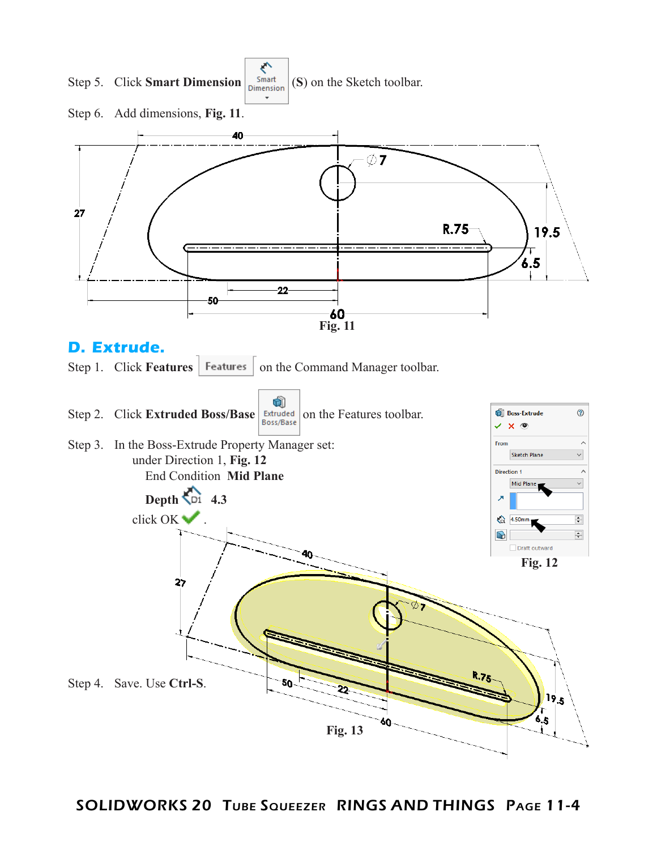

SOLIDWORKS 20 TUBE SQUEEZER RINGS AND THINGS PAGE 11-4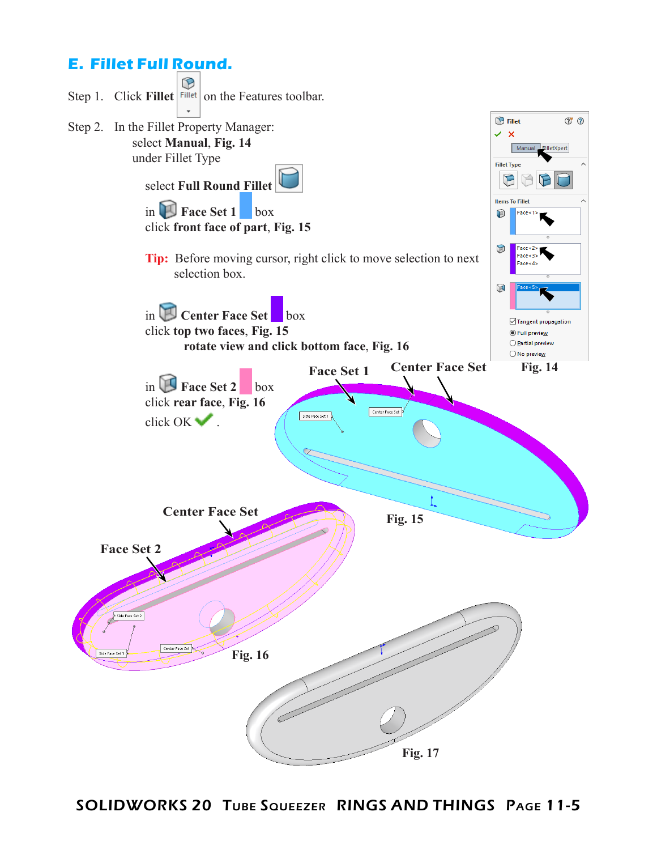## **E. Fillet Full Round.**



SOLIDWORKS 20 TUBE SQUEEZER RINGS AND THINGS PAGE 11-5